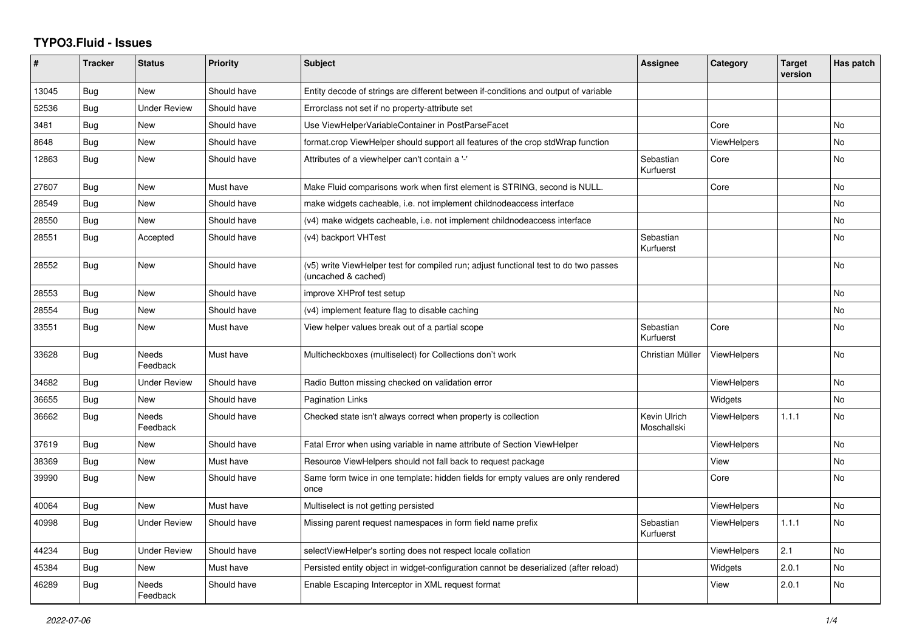## **TYPO3.Fluid - Issues**

| #     | <b>Tracker</b> | <b>Status</b>            | <b>Priority</b> | <b>Subject</b>                                                                                              | Assignee                    | Category           | <b>Target</b><br>version | Has patch |
|-------|----------------|--------------------------|-----------------|-------------------------------------------------------------------------------------------------------------|-----------------------------|--------------------|--------------------------|-----------|
| 13045 | <b>Bug</b>     | <b>New</b>               | Should have     | Entity decode of strings are different between if-conditions and output of variable                         |                             |                    |                          |           |
| 52536 | Bug            | <b>Under Review</b>      | Should have     | Errorclass not set if no property-attribute set                                                             |                             |                    |                          |           |
| 3481  | Bug            | New                      | Should have     | Use ViewHelperVariableContainer in PostParseFacet                                                           |                             | Core               |                          | <b>No</b> |
| 8648  | <b>Bug</b>     | New                      | Should have     | format.crop ViewHelper should support all features of the crop stdWrap function                             |                             | <b>ViewHelpers</b> |                          | <b>No</b> |
| 12863 | Bug            | New                      | Should have     | Attributes of a viewhelper can't contain a '-'                                                              | Sebastian<br>Kurfuerst      | Core               |                          | <b>No</b> |
| 27607 | <b>Bug</b>     | New                      | Must have       | Make Fluid comparisons work when first element is STRING, second is NULL.                                   |                             | Core               |                          | <b>No</b> |
| 28549 | Bug            | New                      | Should have     | make widgets cacheable, i.e. not implement childnodeaccess interface                                        |                             |                    |                          | No        |
| 28550 | Bug            | <b>New</b>               | Should have     | (v4) make widgets cacheable, i.e. not implement childnodeaccess interface                                   |                             |                    |                          | <b>No</b> |
| 28551 | <b>Bug</b>     | Accepted                 | Should have     | (v4) backport VHTest                                                                                        | Sebastian<br>Kurfuerst      |                    |                          | <b>No</b> |
| 28552 | <b>Bug</b>     | New                      | Should have     | (v5) write ViewHelper test for compiled run; adjust functional test to do two passes<br>(uncached & cached) |                             |                    |                          | <b>No</b> |
| 28553 | <b>Bug</b>     | New                      | Should have     | improve XHProf test setup                                                                                   |                             |                    |                          | No        |
| 28554 | Bug            | New                      | Should have     | (v4) implement feature flag to disable caching                                                              |                             |                    |                          | <b>No</b> |
| 33551 | Bug            | New                      | Must have       | View helper values break out of a partial scope                                                             | Sebastian<br>Kurfuerst      | Core               |                          | No        |
| 33628 | <b>Bug</b>     | Needs<br>Feedback        | Must have       | Multicheckboxes (multiselect) for Collections don't work                                                    | Christian Müller            | <b>ViewHelpers</b> |                          | <b>No</b> |
| 34682 | Bug            | <b>Under Review</b>      | Should have     | Radio Button missing checked on validation error                                                            |                             | <b>ViewHelpers</b> |                          | <b>No</b> |
| 36655 | <b>Bug</b>     | New                      | Should have     | Pagination Links                                                                                            |                             | Widgets            |                          | <b>No</b> |
| 36662 | <b>Bug</b>     | <b>Needs</b><br>Feedback | Should have     | Checked state isn't always correct when property is collection                                              | Kevin Ulrich<br>Moschallski | <b>ViewHelpers</b> | 1.1.1                    | <b>No</b> |
| 37619 | <b>Bug</b>     | <b>New</b>               | Should have     | Fatal Error when using variable in name attribute of Section ViewHelper                                     |                             | <b>ViewHelpers</b> |                          | <b>No</b> |
| 38369 | Bug            | <b>New</b>               | Must have       | Resource ViewHelpers should not fall back to request package                                                |                             | View               |                          | <b>No</b> |
| 39990 | Bug            | New                      | Should have     | Same form twice in one template: hidden fields for empty values are only rendered<br>once                   |                             | Core               |                          | No        |
| 40064 | <b>Bug</b>     | <b>New</b>               | Must have       | Multiselect is not getting persisted                                                                        |                             | <b>ViewHelpers</b> |                          | <b>No</b> |
| 40998 | Bug            | Under Review             | Should have     | Missing parent request namespaces in form field name prefix                                                 | Sebastian<br>Kurfuerst      | ViewHelpers        | 1.1.1                    | <b>No</b> |
| 44234 | Bug            | <b>Under Review</b>      | Should have     | selectViewHelper's sorting does not respect locale collation                                                |                             | <b>ViewHelpers</b> | 2.1                      | <b>No</b> |
| 45384 | <b>Bug</b>     | New                      | Must have       | Persisted entity object in widget-configuration cannot be deserialized (after reload)                       |                             | Widgets            | 2.0.1                    | No        |
| 46289 | Bug            | Needs<br>Feedback        | Should have     | Enable Escaping Interceptor in XML request format                                                           |                             | View               | 2.0.1                    | <b>No</b> |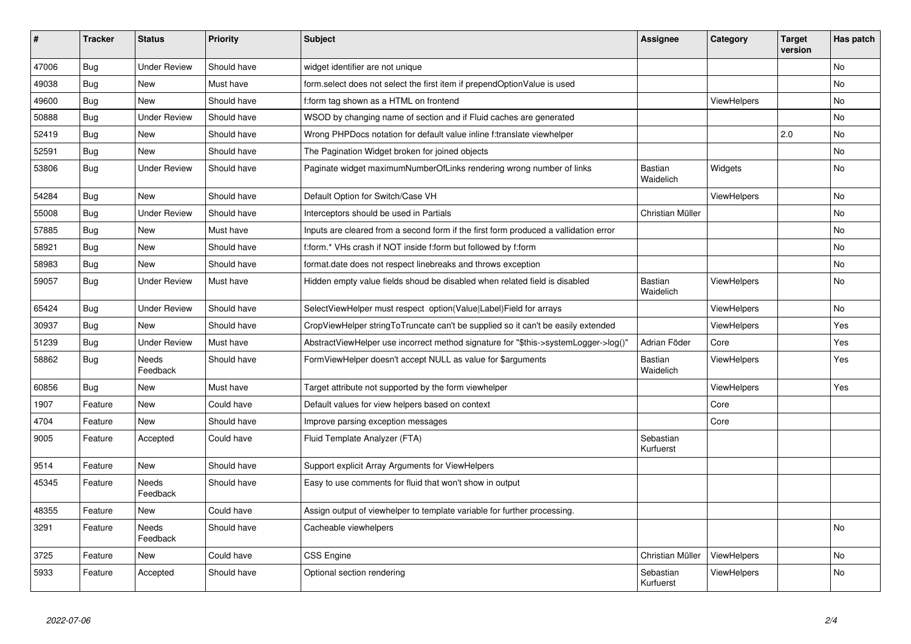| $\vert$ # | <b>Tracker</b> | <b>Status</b>       | <b>Priority</b> | <b>Subject</b>                                                                       | <b>Assignee</b>        | Category           | <b>Target</b><br>version | Has patch |
|-----------|----------------|---------------------|-----------------|--------------------------------------------------------------------------------------|------------------------|--------------------|--------------------------|-----------|
| 47006     | Bug            | <b>Under Review</b> | Should have     | widget identifier are not unique                                                     |                        |                    |                          | <b>No</b> |
| 49038     | Bug            | New                 | Must have       | form.select does not select the first item if prependOptionValue is used             |                        |                    |                          | <b>No</b> |
| 49600     | Bug            | New                 | Should have     | f:form tag shown as a HTML on frontend                                               |                        | <b>ViewHelpers</b> |                          | <b>No</b> |
| 50888     | Bug            | <b>Under Review</b> | Should have     | WSOD by changing name of section and if Fluid caches are generated                   |                        |                    |                          | No        |
| 52419     | <b>Bug</b>     | New                 | Should have     | Wrong PHPDocs notation for default value inline f:translate viewhelper               |                        |                    | 2.0                      | No        |
| 52591     | Bug            | <b>New</b>          | Should have     | The Pagination Widget broken for joined objects                                      |                        |                    |                          | No        |
| 53806     | <b>Bug</b>     | <b>Under Review</b> | Should have     | Paginate widget maximumNumberOfLinks rendering wrong number of links                 | Bastian<br>Waidelich   | Widgets            |                          | No        |
| 54284     | Bug            | New                 | Should have     | Default Option for Switch/Case VH                                                    |                        | <b>ViewHelpers</b> |                          | <b>No</b> |
| 55008     | Bug            | <b>Under Review</b> | Should have     | Interceptors should be used in Partials                                              | Christian Müller       |                    |                          | No        |
| 57885     | <b>Bug</b>     | New                 | Must have       | Inputs are cleared from a second form if the first form produced a vallidation error |                        |                    |                          | No        |
| 58921     | <b>Bug</b>     | New                 | Should have     | f:form.* VHs crash if NOT inside f:form but followed by f:form                       |                        |                    |                          | No        |
| 58983     | <b>Bug</b>     | <b>New</b>          | Should have     | format.date does not respect linebreaks and throws exception                         |                        |                    |                          | No        |
| 59057     | <b>Bug</b>     | <b>Under Review</b> | Must have       | Hidden empty value fields shoud be disabled when related field is disabled           | Bastian<br>Waidelich   | <b>ViewHelpers</b> |                          | No        |
| 65424     | <b>Bug</b>     | Under Review        | Should have     | SelectViewHelper must respect option(Value Label)Field for arrays                    |                        | <b>ViewHelpers</b> |                          | <b>No</b> |
| 30937     | Bug            | <b>New</b>          | Should have     | CropViewHelper stringToTruncate can't be supplied so it can't be easily extended     |                        | ViewHelpers        |                          | Yes       |
| 51239     | Bug            | <b>Under Review</b> | Must have       | AbstractViewHelper use incorrect method signature for "\$this->systemLogger->log()"  | Adrian Föder           | Core               |                          | Yes       |
| 58862     | Bug            | Needs<br>Feedback   | Should have     | FormViewHelper doesn't accept NULL as value for \$arguments                          | Bastian<br>Waidelich   | ViewHelpers        |                          | Yes       |
| 60856     | <b>Bug</b>     | New                 | Must have       | Target attribute not supported by the form viewhelper                                |                        | <b>ViewHelpers</b> |                          | Yes       |
| 1907      | Feature        | <b>New</b>          | Could have      | Default values for view helpers based on context                                     |                        | Core               |                          |           |
| 4704      | Feature        | <b>New</b>          | Should have     | Improve parsing exception messages                                                   |                        | Core               |                          |           |
| 9005      | Feature        | Accepted            | Could have      | Fluid Template Analyzer (FTA)                                                        | Sebastian<br>Kurfuerst |                    |                          |           |
| 9514      | Feature        | New                 | Should have     | Support explicit Array Arguments for ViewHelpers                                     |                        |                    |                          |           |
| 45345     | Feature        | Needs<br>Feedback   | Should have     | Easy to use comments for fluid that won't show in output                             |                        |                    |                          |           |
| 48355     | Feature        | New                 | Could have      | Assign output of viewhelper to template variable for further processing.             |                        |                    |                          |           |
| 3291      | Feature        | Needs<br>Feedback   | Should have     | Cacheable viewhelpers                                                                |                        |                    |                          | <b>No</b> |
| 3725      | Feature        | <b>New</b>          | Could have      | CSS Engine                                                                           | Christian Müller       | ViewHelpers        |                          | <b>No</b> |
| 5933      | Feature        | Accepted            | Should have     | Optional section rendering                                                           | Sebastian<br>Kurfuerst | ViewHelpers        |                          | <b>No</b> |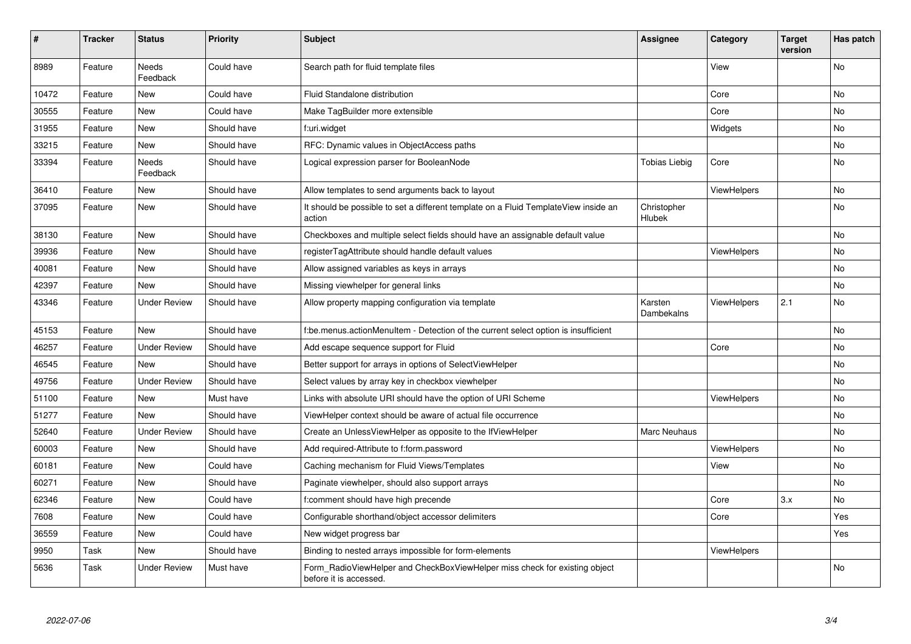| #     | <b>Tracker</b> | <b>Status</b>       | <b>Priority</b> | <b>Subject</b>                                                                                       | Assignee              | Category           | <b>Target</b><br>version | Has patch |
|-------|----------------|---------------------|-----------------|------------------------------------------------------------------------------------------------------|-----------------------|--------------------|--------------------------|-----------|
| 8989  | Feature        | Needs<br>Feedback   | Could have      | Search path for fluid template files                                                                 |                       | View               |                          | <b>No</b> |
| 10472 | Feature        | New                 | Could have      | Fluid Standalone distribution                                                                        |                       | Core               |                          | <b>No</b> |
| 30555 | Feature        | New                 | Could have      | Make TagBuilder more extensible                                                                      |                       | Core               |                          | <b>No</b> |
| 31955 | Feature        | New                 | Should have     | f:uri.widget                                                                                         |                       | Widgets            |                          | <b>No</b> |
| 33215 | Feature        | <b>New</b>          | Should have     | RFC: Dynamic values in ObjectAccess paths                                                            |                       |                    |                          | <b>No</b> |
| 33394 | Feature        | Needs<br>Feedback   | Should have     | Logical expression parser for BooleanNode                                                            | Tobias Liebig         | Core               |                          | No        |
| 36410 | Feature        | New                 | Should have     | Allow templates to send arguments back to layout                                                     |                       | ViewHelpers        |                          | No        |
| 37095 | Feature        | New                 | Should have     | It should be possible to set a different template on a Fluid TemplateView inside an<br>action        | Christopher<br>Hlubek |                    |                          | No        |
| 38130 | Feature        | New                 | Should have     | Checkboxes and multiple select fields should have an assignable default value                        |                       |                    |                          | No        |
| 39936 | Feature        | New                 | Should have     | registerTagAttribute should handle default values                                                    |                       | <b>ViewHelpers</b> |                          | <b>No</b> |
| 40081 | Feature        | <b>New</b>          | Should have     | Allow assigned variables as keys in arrays                                                           |                       |                    |                          | <b>No</b> |
| 42397 | Feature        | New                 | Should have     | Missing viewhelper for general links                                                                 |                       |                    |                          | No        |
| 43346 | Feature        | <b>Under Review</b> | Should have     | Allow property mapping configuration via template                                                    | Karsten<br>Dambekalns | <b>ViewHelpers</b> | 2.1                      | <b>No</b> |
| 45153 | Feature        | <b>New</b>          | Should have     | f:be.menus.actionMenuItem - Detection of the current select option is insufficient                   |                       |                    |                          | <b>No</b> |
| 46257 | Feature        | <b>Under Review</b> | Should have     | Add escape sequence support for Fluid                                                                |                       | Core               |                          | <b>No</b> |
| 46545 | Feature        | <b>New</b>          | Should have     | Better support for arrays in options of SelectViewHelper                                             |                       |                    |                          | <b>No</b> |
| 49756 | Feature        | Under Review        | Should have     | Select values by array key in checkbox viewhelper                                                    |                       |                    |                          | <b>No</b> |
| 51100 | Feature        | New                 | Must have       | Links with absolute URI should have the option of URI Scheme                                         |                       | <b>ViewHelpers</b> |                          | No        |
| 51277 | Feature        | <b>New</b>          | Should have     | ViewHelper context should be aware of actual file occurrence                                         |                       |                    |                          | No        |
| 52640 | Feature        | <b>Under Review</b> | Should have     | Create an UnlessViewHelper as opposite to the IfViewHelper                                           | Marc Neuhaus          |                    |                          | <b>No</b> |
| 60003 | Feature        | New                 | Should have     | Add required-Attribute to f:form.password                                                            |                       | <b>ViewHelpers</b> |                          | No        |
| 60181 | Feature        | New                 | Could have      | Caching mechanism for Fluid Views/Templates                                                          |                       | View               |                          | No        |
| 60271 | Feature        | <b>New</b>          | Should have     | Paginate viewhelper, should also support arrays                                                      |                       |                    |                          | No        |
| 62346 | Feature        | New                 | Could have      | f:comment should have high precende                                                                  |                       | Core               | 3.x                      | <b>No</b> |
| 7608  | Feature        | <b>New</b>          | Could have      | Configurable shorthand/object accessor delimiters                                                    |                       | Core               |                          | Yes       |
| 36559 | Feature        | New                 | Could have      | New widget progress bar                                                                              |                       |                    |                          | Yes       |
| 9950  | Task           | New                 | Should have     | Binding to nested arrays impossible for form-elements                                                |                       | ViewHelpers        |                          |           |
| 5636  | Task           | Under Review        | Must have       | Form RadioViewHelper and CheckBoxViewHelper miss check for existing object<br>before it is accessed. |                       |                    |                          | No        |